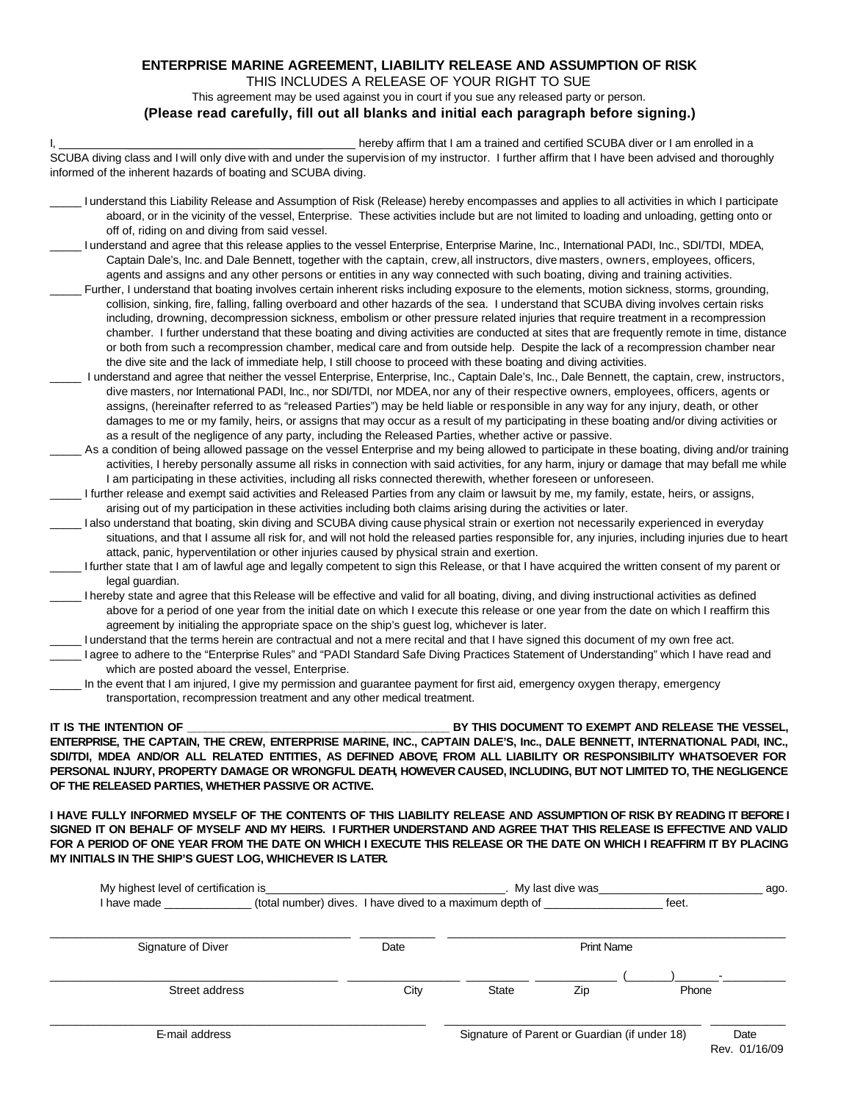### **ENTERPRISE MARINE AGREEMENT, LIABILITY RELEASE AND ASSUMPTION OF RISK**

THIS INCLUDES A RELEASE OF YOUR RIGHT TO SUE

This agreement may be used against you in court if you sue any released party or person.

#### **(Please read carefully, fill out all blanks and initial each paragraph before signing.)**

|                                                                                                                                                                                                                                                                                                                                                                                                                                                                                                                                                                                                                                                                                                                                                                                                                                                                                                                                                                                                                                                                                                                                                                                                                                                                                                                                                                                                                                                                                                                                                                                                                                                                                                                                                                                                                                                                                                                                                                                                                                                                                                                                                                                                                                                                                                                                                                                                                                                                                                                                                                                                                                                                                                                                                                                        | hereby affirm that I am a trained and certified SCUBA diver or I am enrolled in a |
|----------------------------------------------------------------------------------------------------------------------------------------------------------------------------------------------------------------------------------------------------------------------------------------------------------------------------------------------------------------------------------------------------------------------------------------------------------------------------------------------------------------------------------------------------------------------------------------------------------------------------------------------------------------------------------------------------------------------------------------------------------------------------------------------------------------------------------------------------------------------------------------------------------------------------------------------------------------------------------------------------------------------------------------------------------------------------------------------------------------------------------------------------------------------------------------------------------------------------------------------------------------------------------------------------------------------------------------------------------------------------------------------------------------------------------------------------------------------------------------------------------------------------------------------------------------------------------------------------------------------------------------------------------------------------------------------------------------------------------------------------------------------------------------------------------------------------------------------------------------------------------------------------------------------------------------------------------------------------------------------------------------------------------------------------------------------------------------------------------------------------------------------------------------------------------------------------------------------------------------------------------------------------------------------------------------------------------------------------------------------------------------------------------------------------------------------------------------------------------------------------------------------------------------------------------------------------------------------------------------------------------------------------------------------------------------------------------------------------------------------------------------------------------------|-----------------------------------------------------------------------------------|
| SCUBA diving class and I will only dive with and under the supervision of my instructor. I further affirm that I have been advised and thoroughly<br>informed of the inherent hazards of boating and SCUBA diving.                                                                                                                                                                                                                                                                                                                                                                                                                                                                                                                                                                                                                                                                                                                                                                                                                                                                                                                                                                                                                                                                                                                                                                                                                                                                                                                                                                                                                                                                                                                                                                                                                                                                                                                                                                                                                                                                                                                                                                                                                                                                                                                                                                                                                                                                                                                                                                                                                                                                                                                                                                     |                                                                                   |
| I understand this Liability Release and Assumption of Risk (Release) hereby encompasses and applies to all activities in which I participate<br>aboard, or in the vicinity of the vessel, Enterprise. These activities include but are not limited to loading and unloading, getting onto or<br>off of, riding on and diving from said vessel.                                                                                                                                                                                                                                                                                                                                                                                                                                                                                                                                                                                                                                                                                                                                                                                                                                                                                                                                                                                                                                                                                                                                                                                                                                                                                                                                                                                                                                                                                                                                                                                                                                                                                                                                                                                                                                                                                                                                                                                                                                                                                                                                                                                                                                                                                                                                                                                                                                         |                                                                                   |
| I understand and agree that this release applies to the vessel Enterprise, Enterprise Marine, Inc., International PADI, Inc., SDI/TDI, MDEA,<br>Captain Dale's, Inc. and Dale Bennett, together with the captain, crew, all instructors, dive masters, owners, employees, officers,<br>agents and assigns and any other persons or entities in any way connected with such boating, diving and training activities.<br>Further, I understand that boating involves certain inherent risks including exposure to the elements, motion sickness, storms, grounding,<br>collision, sinking, fire, falling, falling overboard and other hazards of the sea. I understand that SCUBA diving involves certain risks<br>including, drowning, decompression sickness, embolism or other pressure related injuries that require treatment in a recompression<br>chamber. I further understand that these boating and diving activities are conducted at sites that are frequently remote in time, distance<br>or both from such a recompression chamber, medical care and from outside help. Despite the lack of a recompression chamber near<br>the dive site and the lack of immediate help, I still choose to proceed with these boating and diving activities.<br>I understand and agree that neither the vessel Enterprise, Enterprise, Inc., Captain Dale's, Inc., Dale Bennett, the captain, crew, instructors,<br>dive masters, nor International PADI, Inc., nor SDI/TDI, nor MDEA, nor any of their respective owners, employees, officers, agents or<br>assigns, (hereinafter referred to as "released Parties") may be held liable or responsible in any way for any injury, death, or other<br>damages to me or my family, heirs, or assigns that may occur as a result of my participating in these boating and/or diving activities or<br>as a result of the negligence of any party, including the Released Parties, whether active or passive.<br>As a condition of being allowed passage on the vessel Enterprise and my being allowed to participate in these boating, diving and/or training<br>activities, I hereby personally assume all risks in connection with said activities, for any harm, injury or damage that may befall me while<br>I am participating in these activities, including all risks connected therewith, whether foreseen or unforeseen.<br>I further release and exempt said activities and Released Parties from any claim or lawsuit by me, my family, estate, heirs, or assigns,<br>arising out of my participation in these activities including both claims arising during the activities or later.<br>I also understand that boating, skin diving and SCUBA diving cause physical strain or exertion not necessarily experienced in everyday |                                                                                   |
| situations, and that I assume all risk for, and will not hold the released parties responsible for, any injuries, including injuries due to heart<br>attack, panic, hyperventilation or other injuries caused by physical strain and exertion.<br>I further state that I am of lawful age and legally competent to sign this Release, or that I have acquired the written consent of my parent or                                                                                                                                                                                                                                                                                                                                                                                                                                                                                                                                                                                                                                                                                                                                                                                                                                                                                                                                                                                                                                                                                                                                                                                                                                                                                                                                                                                                                                                                                                                                                                                                                                                                                                                                                                                                                                                                                                                                                                                                                                                                                                                                                                                                                                                                                                                                                                                      |                                                                                   |
| legal guardian.<br>I hereby state and agree that this Release will be effective and valid for all boating, diving, and diving instructional activities as defined<br>above for a period of one year from the initial date on which I execute this release or one year from the date on which I reaffirm this<br>agreement by initialing the appropriate space on the ship's guest log, whichever is later.<br>I understand that the terms herein are contractual and not a mere recital and that I have signed this document of my own free act.<br>I agree to adhere to the "Enterprise Rules" and "PADI Standard Safe Diving Practices Statement of Understanding" which I have read and<br>which are posted aboard the vessel, Enterprise.                                                                                                                                                                                                                                                                                                                                                                                                                                                                                                                                                                                                                                                                                                                                                                                                                                                                                                                                                                                                                                                                                                                                                                                                                                                                                                                                                                                                                                                                                                                                                                                                                                                                                                                                                                                                                                                                                                                                                                                                                                          |                                                                                   |
| In the event that I am injured, I give my permission and guarantee payment for first aid, emergency oxygen therapy, emergency<br>transportation, recompression treatment and any other medical treatment.                                                                                                                                                                                                                                                                                                                                                                                                                                                                                                                                                                                                                                                                                                                                                                                                                                                                                                                                                                                                                                                                                                                                                                                                                                                                                                                                                                                                                                                                                                                                                                                                                                                                                                                                                                                                                                                                                                                                                                                                                                                                                                                                                                                                                                                                                                                                                                                                                                                                                                                                                                              |                                                                                   |

**IT IS THE INTENTION OF \_\_\_\_\_\_\_\_\_\_\_\_\_\_\_\_\_\_\_\_\_\_\_\_\_\_\_\_\_\_\_\_\_\_\_\_\_\_\_\_\_\_\_ BY THIS DOCUMENT TO EXEMPT AND RELEASE THE VESSEL, ENTERPRISE, THE CAPTAIN, THE CREW, ENTERPRISE MARINE, INC., CAPTAIN DALE'S, Inc., DALE BENNETT, INTERNATIONAL PADI, INC., SDI/TDI, MDEA AND/OR ALL RELATED ENTITIES, AS DEFINED ABOVE, FROM ALL LIABILITY OR RESPONSIBILITY WHATSOEVER FOR PERSONAL INJURY, PROPERTY DAMAGE OR WRONGFUL DEATH, HOWEVER CAUSED, INCLUDING, BUT NOT LIMITED TO, THE NEGLIGENCE OF THE RELEASED PARTIES, WHETHER PASSIVE OR ACTIVE.**

**I HAVE FULLY INFORMED MYSELF OF THE CONTENTS OF THIS LIABILITY RELEASE AND ASSUMPTION OF RISK BY READING IT BEFORE I SIGNED IT ON BEHALF OF MYSELF AND MY HEIRS. I FURTHER UNDERSTAND AND AGREE THAT THIS RELEASE IS EFFECTIVE AND VALID FOR A PERIOD OF ONE YEAR FROM THE DATE ON WHICH I EXECUTE THIS RELEASE OR THE DATE ON WHICH I REAFFIRM IT BY PLACING MY INITIALS IN THE SHIP'S GUEST LOG, WHICHEVER IS LATER.**

|                                                                                                                       | My highest level of certification is<br><u> 1964 - Johann John Harry, martin amerikan basal dan berkecama dalam pengaran basal dan berkecama dan berkecam</u> |                                               |                                                          | . My last dive was    |       |  |  |
|-----------------------------------------------------------------------------------------------------------------------|---------------------------------------------------------------------------------------------------------------------------------------------------------------|-----------------------------------------------|----------------------------------------------------------|-----------------------|-------|--|--|
| I have made <b>that the set of the set of the set of the set of the set of the set of the set of the set of the s</b> |                                                                                                                                                               |                                               | (total number) dives. I have dived to a maximum depth of |                       | feet. |  |  |
| Signature of Diver                                                                                                    |                                                                                                                                                               | Date                                          | <b>Print Name</b>                                        |                       |       |  |  |
| Street address                                                                                                        |                                                                                                                                                               | City                                          | <b>State</b>                                             | Zip                   | Phone |  |  |
| E-mail address                                                                                                        |                                                                                                                                                               | Signature of Parent or Guardian (if under 18) |                                                          | Date<br>Rev. 01/16/09 |       |  |  |